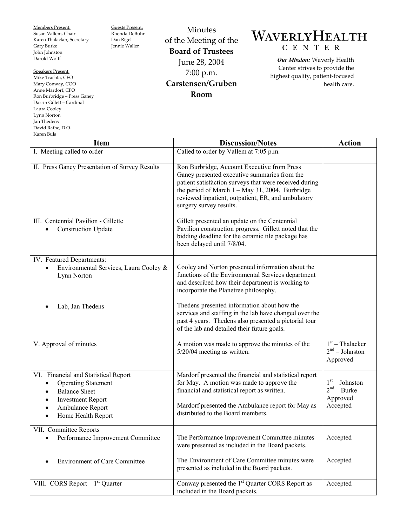Members Present: Susan Vallem, Chair Karen Thalacker, Secretary Gary Burke John Johnston Darold Wolff

Speakers Present: Mike Trachta, CEO Mary Conway, COO Anne Mardorf, CFO Ron Burbridge – Press Ganey Darrin Gillett – Cardinal Laura Cooley Lynn Norton Jan Thedens David Rathe, D.O. Karen Buls

Guests Present: Rhonda DeBuhr Dan Rigel Jennie Waller

of the Meeting of the **Board of Trustees**  June 28, 2004 7:00 p.m. **Carstensen/Gruben Room** 

Minutes

## WAVERLYHEALTH CENTER-

*Our Mission:* Waverly Health Center strives to provide the highest quality, patient-focused health care.

| <b>Item</b>                                                                                                                                                                   | <b>Discussion/Notes</b>                                                                                                                                                                                                                                                                      | <b>Action</b>                                             |
|-------------------------------------------------------------------------------------------------------------------------------------------------------------------------------|----------------------------------------------------------------------------------------------------------------------------------------------------------------------------------------------------------------------------------------------------------------------------------------------|-----------------------------------------------------------|
| I. Meeting called to order                                                                                                                                                    | Called to order by Vallem at 7:05 p.m.                                                                                                                                                                                                                                                       |                                                           |
| II. Press Ganey Presentation of Survey Results                                                                                                                                | Ron Burbridge, Account Executive from Press<br>Ganey presented executive summaries from the<br>patient satisfaction surveys that were received during<br>the period of March $1 - May 31$ , 2004. Burbridge<br>reviewed inpatient, outpatient, ER, and ambulatory<br>surgery survey results. |                                                           |
| III. Centennial Pavilion - Gillette<br><b>Construction Update</b>                                                                                                             | Gillett presented an update on the Centennial<br>Pavilion construction progress. Gillett noted that the<br>bidding deadline for the ceramic tile package has<br>been delayed until 7/8/04.                                                                                                   |                                                           |
| IV. Featured Departments:<br>Environmental Services, Laura Cooley &<br>Lynn Norton                                                                                            | Cooley and Norton presented information about the<br>functions of the Environmental Services department<br>and described how their department is working to<br>incorporate the Planetree philosophy.                                                                                         |                                                           |
| Lab, Jan Thedens                                                                                                                                                              | The dens presented information about how the<br>services and staffing in the lab have changed over the<br>past 4 years. The dens also presented a pictorial tour<br>of the lab and detailed their future goals.                                                                              |                                                           |
| V. Approval of minutes                                                                                                                                                        | A motion was made to approve the minutes of the<br>5/20/04 meeting as written.                                                                                                                                                                                                               | $1st$ – Thalacker<br>$2nd - Johnston$<br>Approved         |
| VI. Financial and Statistical Report<br><b>Operating Statement</b><br><b>Balance Sheet</b><br><b>Investment Report</b><br>Ambulance Report<br>Home Health Report<br>$\bullet$ | Mardorf presented the financial and statistical report<br>for May. A motion was made to approve the<br>financial and statistical report as written.<br>Mardorf presented the Ambulance report for May as<br>distributed to the Board members.                                                | $1st - Johnston$<br>$2nd - Burke$<br>Approved<br>Accepted |
| VII. Committee Reports<br>Performance Improvement Committee<br>٠                                                                                                              | The Performance Improvement Committee minutes<br>were presented as included in the Board packets.                                                                                                                                                                                            | Accepted                                                  |
| <b>Environment of Care Committee</b>                                                                                                                                          | The Environment of Care Committee minutes were<br>presented as included in the Board packets.                                                                                                                                                                                                | Accepted                                                  |
| VIII. CORS Report $-1st$ Quarter                                                                                                                                              | Conway presented the 1 <sup>st</sup> Quarter CORS Report as<br>included in the Board packets.                                                                                                                                                                                                | Accepted                                                  |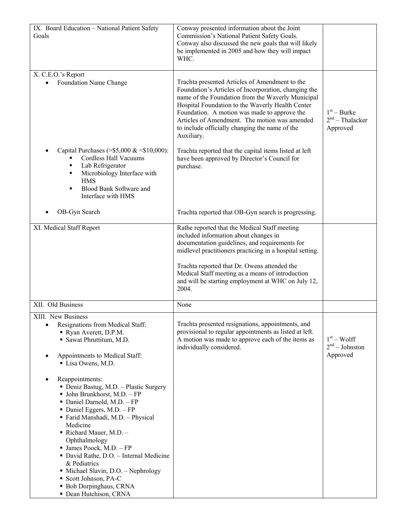| IX. Board Education - National Patient Safety<br>Goals                                                                                                                                                                                                                                                                                                                                                                                                                                     | Conway presented information about the Joint<br>Commission's National Patient Safety Goals.<br>Conway also discussed the new goals that will likely<br>be implemented in 2005 and how they will impact<br>WHC.                                                                                                                                                                   |                                                |
|--------------------------------------------------------------------------------------------------------------------------------------------------------------------------------------------------------------------------------------------------------------------------------------------------------------------------------------------------------------------------------------------------------------------------------------------------------------------------------------------|----------------------------------------------------------------------------------------------------------------------------------------------------------------------------------------------------------------------------------------------------------------------------------------------------------------------------------------------------------------------------------|------------------------------------------------|
| X. C.E.O.'s Report<br>Foundation Name Change                                                                                                                                                                                                                                                                                                                                                                                                                                               | Trachta presented Articles of Amendment to the<br>Foundation's Articles of Incorporation, changing the<br>name of the Foundation from the Waverly Municipal<br>Hospital Foundation to the Waverly Health Center<br>Foundation. A motion was made to approve the<br>Articles of Amendment. The motion was amended<br>to include officially changing the name of the<br>Auxiliary. | $1st - Burke$<br>$2nd$ – Thalacker<br>Approved |
| Capital Purchases (>\$5,000 & $\leq$ \$10,000):<br>Cordless Hall Vacuums<br>Lab Refrigerator<br>٠<br>Microbiology Interface with<br>٠<br><b>HMS</b><br>Blood Bank Software and<br>Interface with HMS                                                                                                                                                                                                                                                                                       | Trachta reported that the capital items listed at left<br>have been approved by Director's Council for<br>purchase.                                                                                                                                                                                                                                                              |                                                |
| OB-Gyn Search                                                                                                                                                                                                                                                                                                                                                                                                                                                                              | Trachta reported that OB-Gyn search is progressing.                                                                                                                                                                                                                                                                                                                              |                                                |
| XI. Medical Staff Report                                                                                                                                                                                                                                                                                                                                                                                                                                                                   | Rathe reported that the Medical Staff meeting<br>included information about changes in<br>documentation guidelines, and requirements for<br>midlevel practitioners practicing in a hospital setting.<br>Trachta reported that Dr. Owens attended the<br>Medical Staff meeting as a means of introduction<br>and will be starting employment at WHC on July 12,<br>2004.          |                                                |
| XII. Old Business                                                                                                                                                                                                                                                                                                                                                                                                                                                                          | None                                                                                                                                                                                                                                                                                                                                                                             |                                                |
| XIII. New Business<br>Resignations from Medical Staff:<br>Ryan Averett, D.P.M.<br>Sawat Phruttitum, M.D.<br>Appointments to Medical Staff:<br>Lisa Owens, M.D.                                                                                                                                                                                                                                                                                                                             | Trachta presented resignations, appointments, and<br>provisional to regular appointments as listed at left.<br>A motion was made to approve each of the items as<br>individually considered.                                                                                                                                                                                     | $1st - Wolf$<br>$2nd - Johnston$<br>Approved   |
| Reappointments:<br>• Deniz Bastug, M.D. - Plastic Surgery<br>$\blacksquare$ John Brunkhorst, M.D. - FP<br>• Daniel Darnold, M.D. - FP<br>• Daniel Eggers, M.D. $-FP$<br>■ Farid Manshadi, M.D. - Physical<br>Medicine<br>Richard Mauer, M.D. $-$<br>Ophthalmology<br>$\blacksquare$ James Poock, M.D. - FP<br>• David Rathe, D.O. - Internal Medicine<br>& Pediatrics<br>• Michael Slavin, D.O. - Nephrology<br>• Scott Johnson, PA-C<br>• Bob Dorpinghaus, CRNA<br>• Dean Hutchison, CRNA |                                                                                                                                                                                                                                                                                                                                                                                  |                                                |